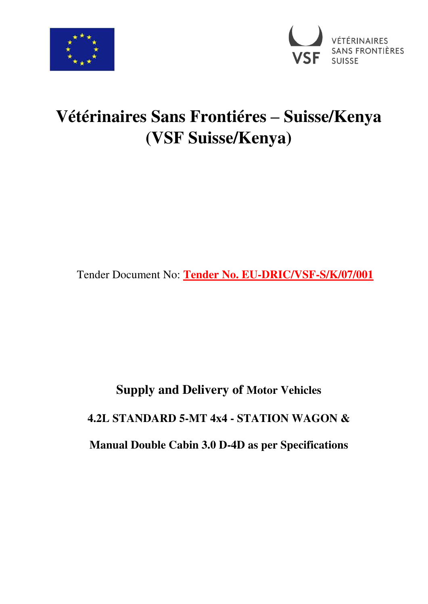



## **Vétérinaires Sans Frontiéres – Suisse/Kenya (VSF Suisse/Kenya)**

Tender Document No: **Tender No. EU-DRIC/VSF-S/K/07/001**

# **Supply and Delivery of Motor Vehicles 4.2L STANDARD 5-MT 4x4 - STATION WAGON & Manual Double Cabin 3.0 D-4D as per Specifications**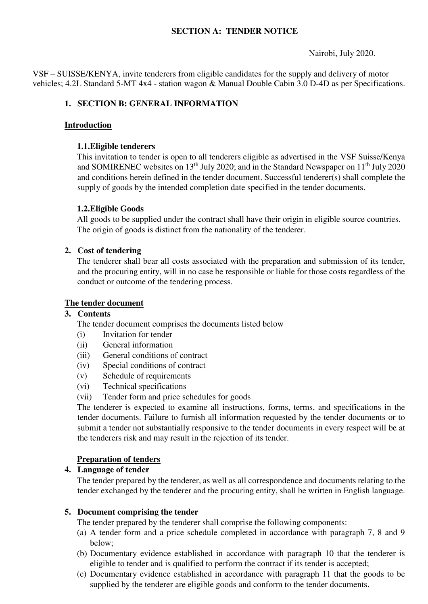## **SECTION A: TENDER NOTICE**

## Nairobi, July 2020.

VSF – SUISSE/KENYA, invite tenderers from eligible candidates for the supply and delivery of motor vehicles; 4.2L Standard 5-MT 4x4 - station wagon & Manual Double Cabin 3.0 D-4D as per Specifications.

## **1. SECTION B: GENERAL INFORMATION**

## **Introduction**

## **1.1.Eligible tenderers**

This invitation to tender is open to all tenderers eligible as advertised in the VSF Suisse/Kenya and SOMIRENEC websites on  $13<sup>th</sup>$  July 2020; and in the Standard Newspaper on  $11<sup>th</sup>$  July 2020 and conditions herein defined in the tender document. Successful tenderer(s) shall complete the supply of goods by the intended completion date specified in the tender documents.

## **1.2.Eligible Goods**

All goods to be supplied under the contract shall have their origin in eligible source countries. The origin of goods is distinct from the nationality of the tenderer.

## **2. Cost of tendering**

The tenderer shall bear all costs associated with the preparation and submission of its tender, and the procuring entity, will in no case be responsible or liable for those costs regardless of the conduct or outcome of the tendering process.

## **The tender document**

## **3. Contents**

The tender document comprises the documents listed below

- (i) Invitation for tender
- (ii) General information
- (iii) General conditions of contract
- (iv) Special conditions of contract
- (v) Schedule of requirements
- (vi) Technical specifications
- (vii) Tender form and price schedules for goods

The tenderer is expected to examine all instructions, forms, terms, and specifications in the tender documents. Failure to furnish all information requested by the tender documents or to submit a tender not substantially responsive to the tender documents in every respect will be at the tenderers risk and may result in the rejection of its tender.

## **Preparation of tenders**

#### **4. Language of tender**

The tender prepared by the tenderer, as well as all correspondence and documents relating to the tender exchanged by the tenderer and the procuring entity, shall be written in English language.

#### **5. Document comprising the tender**

The tender prepared by the tenderer shall comprise the following components:

- (a) A tender form and a price schedule completed in accordance with paragraph 7, 8 and 9 below;
- (b) Documentary evidence established in accordance with paragraph 10 that the tenderer is eligible to tender and is qualified to perform the contract if its tender is accepted;
- (c) Documentary evidence established in accordance with paragraph 11 that the goods to be supplied by the tenderer are eligible goods and conform to the tender documents.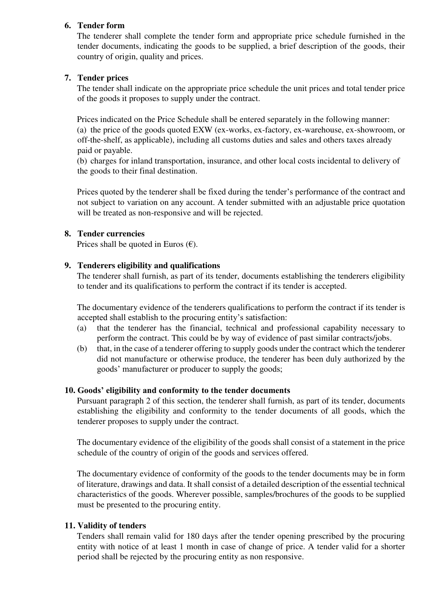## **6. Tender form**

The tenderer shall complete the tender form and appropriate price schedule furnished in the tender documents, indicating the goods to be supplied, a brief description of the goods, their country of origin, quality and prices.

## **7. Tender prices**

The tender shall indicate on the appropriate price schedule the unit prices and total tender price of the goods it proposes to supply under the contract.

Prices indicated on the Price Schedule shall be entered separately in the following manner: (a) the price of the goods quoted EXW (ex-works, ex-factory, ex-warehouse, ex-showroom, or off-the-shelf, as applicable), including all customs duties and sales and others taxes already paid or payable.

(b) charges for inland transportation, insurance, and other local costs incidental to delivery of the goods to their final destination.

Prices quoted by the tenderer shall be fixed during the tender's performance of the contract and not subject to variation on any account. A tender submitted with an adjustable price quotation will be treated as non-responsive and will be rejected.

## **8. Tender currencies**

Prices shall be quoted in Euros  $(\epsilon)$ .

## **9. Tenderers eligibility and qualifications**

The tenderer shall furnish, as part of its tender, documents establishing the tenderers eligibility to tender and its qualifications to perform the contract if its tender is accepted.

The documentary evidence of the tenderers qualifications to perform the contract if its tender is accepted shall establish to the procuring entity's satisfaction:

- (a) that the tenderer has the financial, technical and professional capability necessary to perform the contract. This could be by way of evidence of past similar contracts/jobs.
- (b) that, in the case of a tenderer offering to supply goods under the contract which the tenderer did not manufacture or otherwise produce, the tenderer has been duly authorized by the goods' manufacturer or producer to supply the goods;

## **10. Goods' eligibility and conformity to the tender documents**

Pursuant paragraph 2 of this section, the tenderer shall furnish, as part of its tender, documents establishing the eligibility and conformity to the tender documents of all goods, which the tenderer proposes to supply under the contract.

The documentary evidence of the eligibility of the goods shall consist of a statement in the price schedule of the country of origin of the goods and services offered.

The documentary evidence of conformity of the goods to the tender documents may be in form of literature, drawings and data. It shall consist of a detailed description of the essential technical characteristics of the goods. Wherever possible, samples/brochures of the goods to be supplied must be presented to the procuring entity.

## **11. Validity of tenders**

Tenders shall remain valid for 180 days after the tender opening prescribed by the procuring entity with notice of at least 1 month in case of change of price. A tender valid for a shorter period shall be rejected by the procuring entity as non responsive.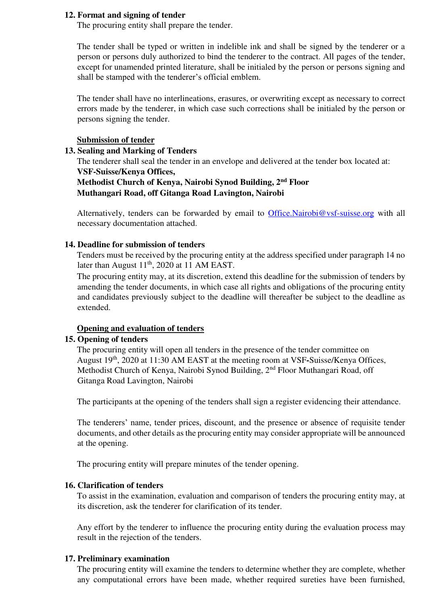#### **12. Format and signing of tender**

The procuring entity shall prepare the tender.

The tender shall be typed or written in indelible ink and shall be signed by the tenderer or a person or persons duly authorized to bind the tenderer to the contract. All pages of the tender, except for unamended printed literature, shall be initialed by the person or persons signing and shall be stamped with the tenderer's official emblem.

The tender shall have no interlineations, erasures, or overwriting except as necessary to correct errors made by the tenderer, in which case such corrections shall be initialed by the person or persons signing the tender.

#### **Submission of tender**

## **13. Sealing and Marking of Tenders**

The tenderer shall seal the tender in an envelope and delivered at the tender box located at: **VSF-Suisse/Kenya Offices,** 

## **Methodist Church of Kenya, Nairobi Synod Building, 2nd Floor Muthangari Road, off Gitanga Road Lavington, Nairobi**

Alternatively, tenders can be forwarded by email to [Office.Nairobi@vsf-suisse.org](mailto:Office.Nairobi@vsf-suisse.org) with all necessary documentation attached.

#### **14. Deadline for submission of tenders**

Tenders must be received by the procuring entity at the address specified under paragraph 14 no later than August  $11<sup>th</sup>$ , 2020 at 11 AM EAST.

The procuring entity may, at its discretion, extend this deadline for the submission of tenders by amending the tender documents, in which case all rights and obligations of the procuring entity and candidates previously subject to the deadline will thereafter be subject to the deadline as extended.

#### **Opening and evaluation of tenders**

## **15. Opening of tenders**

The procuring entity will open all tenders in the presence of the tender committee on August 19th, 2020 at 11:30 AM EAST at the meeting room at VSF**-**Suisse/Kenya Offices, Methodist Church of Kenya, Nairobi Synod Building, 2<sup>nd</sup> Floor Muthangari Road, off Gitanga Road Lavington, Nairobi

The participants at the opening of the tenders shall sign a register evidencing their attendance.

The tenderers' name, tender prices, discount, and the presence or absence of requisite tender documents, and other details as the procuring entity may consider appropriate will be announced at the opening.

The procuring entity will prepare minutes of the tender opening.

#### **16. Clarification of tenders**

To assist in the examination, evaluation and comparison of tenders the procuring entity may, at its discretion, ask the tenderer for clarification of its tender.

Any effort by the tenderer to influence the procuring entity during the evaluation process may result in the rejection of the tenders.

#### **17. Preliminary examination**

The procuring entity will examine the tenders to determine whether they are complete, whether any computational errors have been made, whether required sureties have been furnished,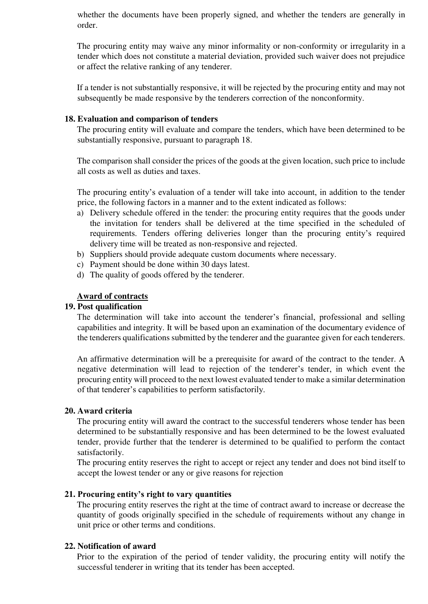whether the documents have been properly signed, and whether the tenders are generally in order.

The procuring entity may waive any minor informality or non-conformity or irregularity in a tender which does not constitute a material deviation, provided such waiver does not prejudice or affect the relative ranking of any tenderer.

If a tender is not substantially responsive, it will be rejected by the procuring entity and may not subsequently be made responsive by the tenderers correction of the nonconformity.

#### **18. Evaluation and comparison of tenders**

The procuring entity will evaluate and compare the tenders, which have been determined to be substantially responsive, pursuant to paragraph 18.

The comparison shall consider the prices of the goods at the given location, such price to include all costs as well as duties and taxes.

The procuring entity's evaluation of a tender will take into account, in addition to the tender price, the following factors in a manner and to the extent indicated as follows:

- a) Delivery schedule offered in the tender: the procuring entity requires that the goods under the invitation for tenders shall be delivered at the time specified in the scheduled of requirements. Tenders offering deliveries longer than the procuring entity's required delivery time will be treated as non-responsive and rejected.
- b) Suppliers should provide adequate custom documents where necessary.
- c) Payment should be done within 30 days latest.
- d) The quality of goods offered by the tenderer.

#### **Award of contracts**

#### **19. Post qualification**

The determination will take into account the tenderer's financial, professional and selling capabilities and integrity. It will be based upon an examination of the documentary evidence of the tenderers qualifications submitted by the tenderer and the guarantee given for each tenderers.

An affirmative determination will be a prerequisite for award of the contract to the tender. A negative determination will lead to rejection of the tenderer's tender, in which event the procuring entity will proceed to the next lowest evaluated tender to make a similar determination of that tenderer's capabilities to perform satisfactorily.

#### **20. Award criteria**

The procuring entity will award the contract to the successful tenderers whose tender has been determined to be substantially responsive and has been determined to be the lowest evaluated tender, provide further that the tenderer is determined to be qualified to perform the contact satisfactorily.

The procuring entity reserves the right to accept or reject any tender and does not bind itself to accept the lowest tender or any or give reasons for rejection

#### **21. Procuring entity's right to vary quantities**

The procuring entity reserves the right at the time of contract award to increase or decrease the quantity of goods originally specified in the schedule of requirements without any change in unit price or other terms and conditions.

## **22. Notification of award**

Prior to the expiration of the period of tender validity, the procuring entity will notify the successful tenderer in writing that its tender has been accepted.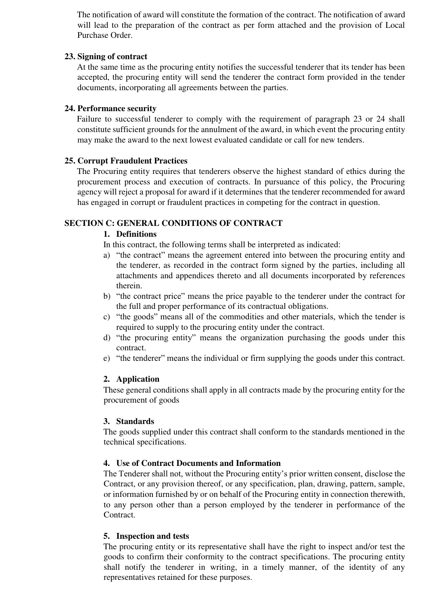The notification of award will constitute the formation of the contract. The notification of award will lead to the preparation of the contract as per form attached and the provision of Local Purchase Order.

## **23. Signing of contract**

At the same time as the procuring entity notifies the successful tenderer that its tender has been accepted, the procuring entity will send the tenderer the contract form provided in the tender documents, incorporating all agreements between the parties.

## **24. Performance security**

Failure to successful tenderer to comply with the requirement of paragraph 23 or 24 shall constitute sufficient grounds for the annulment of the award, in which event the procuring entity may make the award to the next lowest evaluated candidate or call for new tenders.

## **25. Corrupt Fraudulent Practices**

The Procuring entity requires that tenderers observe the highest standard of ethics during the procurement process and execution of contracts. In pursuance of this policy, the Procuring agency will reject a proposal for award if it determines that the tenderer recommended for award has engaged in corrupt or fraudulent practices in competing for the contract in question.

## **SECTION C: GENERAL CONDITIONS OF CONTRACT**

## **1. Definitions**

In this contract, the following terms shall be interpreted as indicated:

- a) "the contract" means the agreement entered into between the procuring entity and the tenderer, as recorded in the contract form signed by the parties, including all attachments and appendices thereto and all documents incorporated by references therein.
- b) "the contract price" means the price payable to the tenderer under the contract for the full and proper performance of its contractual obligations.
- c) "the goods" means all of the commodities and other materials, which the tender is required to supply to the procuring entity under the contract.
- d) "the procuring entity" means the organization purchasing the goods under this contract.
- e) "the tenderer" means the individual or firm supplying the goods under this contract.

## **2. Application**

These general conditions shall apply in all contracts made by the procuring entity for the procurement of goods

#### **3. Standards**

The goods supplied under this contract shall conform to the standards mentioned in the technical specifications.

#### **4. Use of Contract Documents and Information**

The Tenderer shall not, without the Procuring entity's prior written consent, disclose the Contract, or any provision thereof, or any specification, plan, drawing, pattern, sample, or information furnished by or on behalf of the Procuring entity in connection therewith, to any person other than a person employed by the tenderer in performance of the Contract.

#### **5. Inspection and tests**

The procuring entity or its representative shall have the right to inspect and/or test the goods to confirm their conformity to the contract specifications. The procuring entity shall notify the tenderer in writing, in a timely manner, of the identity of any representatives retained for these purposes.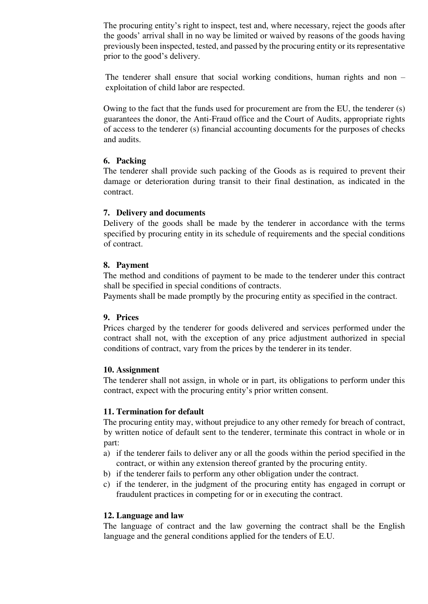The procuring entity's right to inspect, test and, where necessary, reject the goods after the goods' arrival shall in no way be limited or waived by reasons of the goods having previously been inspected, tested, and passed by the procuring entity or its representative prior to the good's delivery.

The tenderer shall ensure that social working conditions, human rights and non – exploitation of child labor are respected.

Owing to the fact that the funds used for procurement are from the EU, the tenderer (s) guarantees the donor, the Anti-Fraud office and the Court of Audits, appropriate rights of access to the tenderer (s) financial accounting documents for the purposes of checks and audits.

## **6. Packing**

The tenderer shall provide such packing of the Goods as is required to prevent their damage or deterioration during transit to their final destination, as indicated in the contract.

## **7. Delivery and documents**

Delivery of the goods shall be made by the tenderer in accordance with the terms specified by procuring entity in its schedule of requirements and the special conditions of contract.

## **8. Payment**

The method and conditions of payment to be made to the tenderer under this contract shall be specified in special conditions of contracts.

Payments shall be made promptly by the procuring entity as specified in the contract.

#### **9. Prices**

Prices charged by the tenderer for goods delivered and services performed under the contract shall not, with the exception of any price adjustment authorized in special conditions of contract, vary from the prices by the tenderer in its tender.

#### **10. Assignment**

The tenderer shall not assign, in whole or in part, its obligations to perform under this contract, expect with the procuring entity's prior written consent.

## **11. Termination for default**

The procuring entity may, without prejudice to any other remedy for breach of contract, by written notice of default sent to the tenderer, terminate this contract in whole or in part:

- a) if the tenderer fails to deliver any or all the goods within the period specified in the contract, or within any extension thereof granted by the procuring entity.
- b) if the tenderer fails to perform any other obligation under the contract.
- c) if the tenderer, in the judgment of the procuring entity has engaged in corrupt or fraudulent practices in competing for or in executing the contract.

## **12. Language and law**

The language of contract and the law governing the contract shall be the English language and the general conditions applied for the tenders of E.U.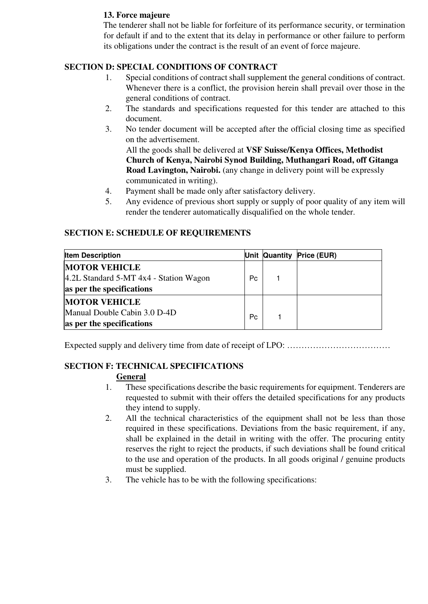## **13. Force majeure**

The tenderer shall not be liable for forfeiture of its performance security, or termination for default if and to the extent that its delay in performance or other failure to perform its obligations under the contract is the result of an event of force majeure.

## **SECTION D: SPECIAL CONDITIONS OF CONTRACT**

- 1. Special conditions of contract shall supplement the general conditions of contract. Whenever there is a conflict, the provision herein shall prevail over those in the general conditions of contract.
- 2. The standards and specifications requested for this tender are attached to this document.
- 3. No tender document will be accepted after the official closing time as specified on the advertisement.

All the goods shall be delivered at **VSF Suisse/Kenya Offices, Methodist Church of Kenya, Nairobi Synod Building, Muthangari Road, off Gitanga Road Lavington, Nairobi.** (any change in delivery point will be expressly communicated in writing).

- 4. Payment shall be made only after satisfactory delivery.
- 5. Any evidence of previous short supply or supply of poor quality of any item will render the tenderer automatically disqualified on the whole tender.

## **SECTION E: SCHEDULE OF REQUIREMENTS**

| <b>Item Description</b>                                                                     |                | Unit Quantity Price (EUR) |
|---------------------------------------------------------------------------------------------|----------------|---------------------------|
| <b>MOTOR VEHICLE</b><br>4.2L Standard 5-MT 4x4 - Station Wagon<br>as per the specifications | P <sub>C</sub> |                           |
| <b>MOTOR VEHICLE</b><br>Manual Double Cabin 3.0 D-4D<br>as per the specifications           | P <sub>c</sub> |                           |

Expected supply and delivery time from date of receipt of LPO: ………………………………

## **SECTION F: TECHNICAL SPECIFICATIONS**

## **General**

- 1. These specifications describe the basic requirements for equipment. Tenderers are requested to submit with their offers the detailed specifications for any products they intend to supply.
- 2. All the technical characteristics of the equipment shall not be less than those required in these specifications. Deviations from the basic requirement, if any, shall be explained in the detail in writing with the offer. The procuring entity reserves the right to reject the products, if such deviations shall be found critical to the use and operation of the products. In all goods original / genuine products must be supplied.
- 3. The vehicle has to be with the following specifications: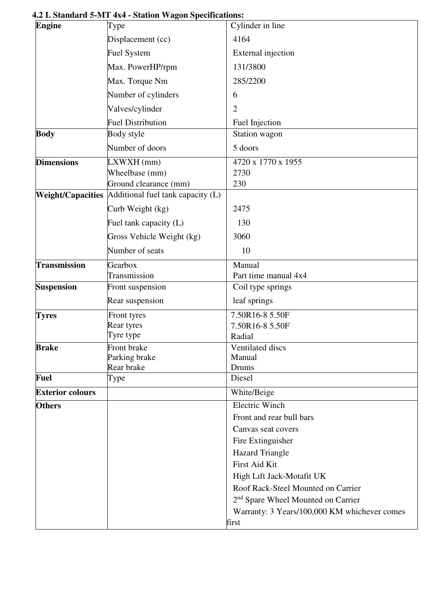| Engine                   | Type                              | Cylinder in line                               |
|--------------------------|-----------------------------------|------------------------------------------------|
|                          | Displacement (cc)                 | 4164                                           |
|                          | <b>Fuel System</b>                | External injection                             |
|                          | Max. PowerHP/rpm                  | 131/3800                                       |
|                          | Max. Torque Nm                    | 285/2200                                       |
|                          | Number of cylinders               | 6                                              |
|                          | Valves/cylinder                   | $\overline{2}$                                 |
|                          | <b>Fuel Distribution</b>          | Fuel Injection                                 |
| <b>Body</b>              | Body style                        | Station wagon                                  |
|                          | Number of doors                   | 5 doors                                        |
| <b>Dimensions</b>        | LXWXH (mm)                        | 4720 x 1770 x 1955                             |
|                          | Wheelbase (mm)                    | 2730                                           |
|                          | Ground clearance (mm)             | 230                                            |
| <b>Weight/Capacities</b> | Additional fuel tank capacity (L) |                                                |
|                          | Curb Weight (kg)                  | 2475                                           |
|                          | Fuel tank capacity (L)            | 130                                            |
|                          | Gross Vehicle Weight (kg)         | 3060                                           |
|                          | Number of seats                   | 10                                             |
| <b>Transmission</b>      | Gearbox                           | Manual                                         |
|                          | Transmission                      | Part time manual 4x4                           |
| <b>Suspension</b>        | Front suspension                  | Coil type springs                              |
|                          | Rear suspension                   | leaf springs                                   |
| <b>Tyres</b>             | Front tyres                       | 7.50R16-8 5.50F                                |
|                          | Rear tyres<br>Tyre type           | 7.50R16-8 5.50F                                |
| <b>Brake</b>             | Front brake                       | Radial<br>Ventilated discs                     |
|                          | Parking brake                     | Manual                                         |
|                          | Rear brake                        | Drums                                          |
| <b>Fuel</b>              | Type                              | Diesel                                         |
| <b>Exterior colours</b>  |                                   | White/Beige                                    |
| <b>Others</b>            |                                   | <b>Electric Winch</b>                          |
|                          |                                   | Front and rear bull bars                       |
|                          |                                   | Canvas seat covers                             |
|                          |                                   | Fire Extinguisher                              |
|                          |                                   | <b>Hazard Triangle</b>                         |
|                          |                                   | First Aid Kit                                  |
|                          |                                   | High Lift Jack-Motafit UK                      |
|                          |                                   | Roof Rack-Steel Mounted on Carrier             |
|                          |                                   | 2 <sup>nd</sup> Spare Wheel Mounted on Carrier |
|                          |                                   | Warranty: 3 Years/100,000 KM whichever comes   |
|                          |                                   | first                                          |

## **4.2 L Standard 5-MT 4x4 - Station Wagon Specifications:**